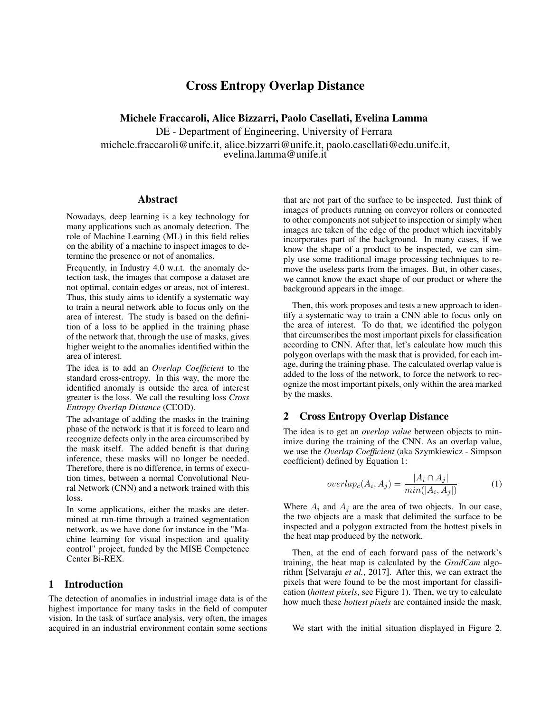# Cross Entropy Overlap Distance

Michele Fraccaroli, Alice Bizzarri, Paolo Casellati, Evelina Lamma

DE - Department of Engineering, University of Ferrara michele.fraccaroli@unife.it, alice.bizzarri@unife.it, paolo.casellati@edu.unife.it,

evelina.lamma@unife.it

#### Abstract

Nowadays, deep learning is a key technology for many applications such as anomaly detection. The role of Machine Learning (ML) in this field relies on the ability of a machine to inspect images to determine the presence or not of anomalies.

Frequently, in Industry 4.0 w.r.t. the anomaly detection task, the images that compose a dataset are not optimal, contain edges or areas, not of interest. Thus, this study aims to identify a systematic way to train a neural network able to focus only on the area of interest. The study is based on the definition of a loss to be applied in the training phase of the network that, through the use of masks, gives higher weight to the anomalies identified within the area of interest.

The idea is to add an *Overlap Coefficient* to the standard cross-entropy. In this way, the more the identified anomaly is outside the area of interest greater is the loss. We call the resulting loss *Cross Entropy Overlap Distance* (CEOD).

The advantage of adding the masks in the training phase of the network is that it is forced to learn and recognize defects only in the area circumscribed by the mask itself. The added benefit is that during inference, these masks will no longer be needed. Therefore, there is no difference, in terms of execution times, between a normal Convolutional Neural Network (CNN) and a network trained with this loss.

In some applications, either the masks are determined at run-time through a trained segmentation network, as we have done for instance in the "Machine learning for visual inspection and quality control" project, funded by the MISE Competence Center Bi-REX.

# 1 Introduction

The detection of anomalies in industrial image data is of the highest importance for many tasks in the field of computer vision. In the task of surface analysis, very often, the images acquired in an industrial environment contain some sections that are not part of the surface to be inspected. Just think of images of products running on conveyor rollers or connected to other components not subject to inspection or simply when images are taken of the edge of the product which inevitably incorporates part of the background. In many cases, if we know the shape of a product to be inspected, we can simply use some traditional image processing techniques to remove the useless parts from the images. But, in other cases, we cannot know the exact shape of our product or where the background appears in the image.

Then, this work proposes and tests a new approach to identify a systematic way to train a CNN able to focus only on the area of interest. To do that, we identified the polygon that circumscribes the most important pixels for classification according to CNN. After that, let's calculate how much this polygon overlaps with the mask that is provided, for each image, during the training phase. The calculated overlap value is added to the loss of the network, to force the network to recognize the most important pixels, only within the area marked by the masks.

# 2 Cross Entropy Overlap Distance

The idea is to get an *overlap value* between objects to minimize during the training of the CNN. As an overlap value, we use the *Overlap Coefficient* (aka Szymkiewicz - Simpson coefficient) defined by Equation [1:](#page-0-0)

<span id="page-0-0"></span>
$$
overlap_c(A_i, A_j) = \frac{|A_i \cap A_j|}{min(|A_i, A_j|)}
$$
(1)

Where  $A_i$  and  $A_j$  are the area of two objects. In our case, the two objects are a mask that delimited the surface to be inspected and a polygon extracted from the hottest pixels in the heat map produced by the network.

Then, at the end of each forward pass of the network's training, the heat map is calculated by the *GradCam* algorithm [\[Selvaraju](#page-2-0) *et al.*, 2017]. After this, we can extract the pixels that were found to be the most important for classification (*hottest pixels*, see Figure [1\)](#page-1-0). Then, we try to calculate how much these *hottest pixels* are contained inside the mask.

We start with the initial situation displayed in Figure [2.](#page-1-1)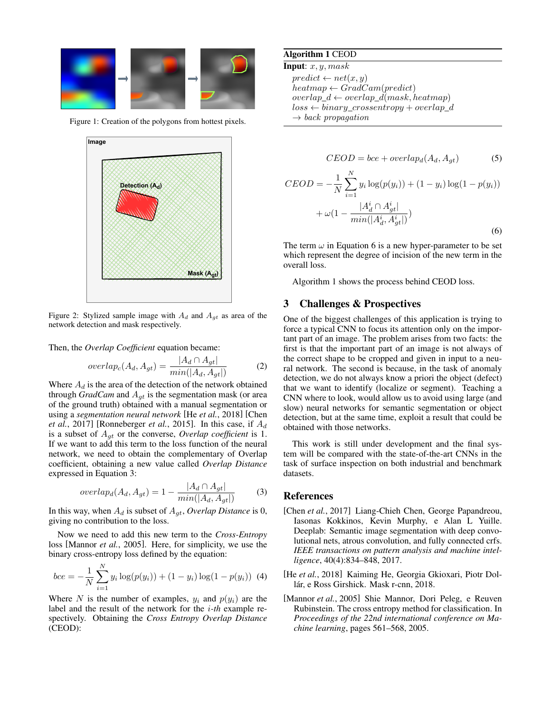<span id="page-1-0"></span>

<span id="page-1-1"></span>Figure 1: Creation of the polygons from hottest pixels.



Figure 2: Stylized sample image with  $A_d$  and  $A_{gt}$  as area of the network detection and mask respectively.

Then, the *Overlap Coefficient* equation became:

$$
overlap_c(A_d, A_{gt}) = \frac{|A_d \cap A_{gt}|}{min(|A_d, A_{gt}|)}
$$
(2)

Where  $A_d$  is the area of the detection of the network obtained through *GradCam* and  $A_{gt}$  is the segmentation mask (or area of the ground truth) obtained with a manual segmentation or using a *segmentation neural network* [He *et al.*[, 2018\]](#page-1-2) [\[Chen](#page-1-3) *et al.*[, 2017\]](#page-1-3) [\[Ronneberger](#page-2-1) *et al.*, 2015]. In this case, if  $A_d$ is a subset of Agt or the converse, *Overlap coefficient* is 1. If we want to add this term to the loss function of the neural network, we need to obtain the complementary of Overlap coefficient, obtaining a new value called *Overlap Distance* expressed in Equation [3:](#page-1-4)

<span id="page-1-4"></span>
$$
overlap_d(A_d, A_{gt}) = 1 - \frac{|A_d \cap A_{gt}|}{min(|A_d, A_{gt}|)}
$$
(3)

In this way, when  $A_d$  is subset of  $A_{gt}$ , *Overlap Distance* is 0, giving no contribution to the loss.

Now we need to add this new term to the *Cross-Entropy* loss [\[Mannor](#page-1-5) *et al.*, 2005]. Here, for simplicity, we use the binary cross-entropy loss defined by the equation:

$$
bce = -\frac{1}{N} \sum_{i=1}^{N} y_i \log(p(y_i)) + (1 - y_i) \log(1 - p(y_i)) \tag{4}
$$

Where N is the number of examples,  $y_i$  and  $p(y_i)$  are the label and the result of the network for the i*-th* example respectively. Obtaining the *Cross Entropy Overlap Distance* (CEOD):

### <span id="page-1-7"></span>Algorithm 1 CEOD

**Input:**  $x, y, mask$ 

 $predict \leftarrow net(x, y)$  $heatmap \leftarrow GradCam(predict)$  $overlap_d \leftarrow overlap_d(maxk, heatmap)$  $loss \leftarrow binary\_crossover+overlap\_d$  $\rightarrow$  back propagation

$$
CEOD = bce + overlap_d(A_d, A_{gt})
$$
 (5)

<span id="page-1-6"></span>
$$
CEOD = -\frac{1}{N} \sum_{i=1}^{N} y_i \log(p(y_i)) + (1 - y_i) \log(1 - p(y_i))
$$

$$
+ \omega \left(1 - \frac{|A_d^i \cap A_{gt}^i|}{\min(|A_d^i, A_{gt}^i|)}\right)
$$
(6)

The term  $\omega$  in Equation [6](#page-1-6) is a new hyper-parameter to be set which represent the degree of incision of the new term in the overall loss.

Algorithm [1](#page-1-7) shows the process behind CEOD loss.

### 3 Challenges & Prospectives

One of the biggest challenges of this application is trying to force a typical CNN to focus its attention only on the important part of an image. The problem arises from two facts: the first is that the important part of an image is not always of the correct shape to be cropped and given in input to a neural network. The second is because, in the task of anomaly detection, we do not always know a priori the object (defect) that we want to identify (localize or segment). Teaching a CNN where to look, would allow us to avoid using large (and slow) neural networks for semantic segmentation or object detection, but at the same time, exploit a result that could be obtained with those networks.

This work is still under development and the final system will be compared with the state-of-the-art CNNs in the task of surface inspection on both industrial and benchmark datasets.

#### References

- <span id="page-1-3"></span>[Chen *et al.*, 2017] Liang-Chieh Chen, George Papandreou, Iasonas Kokkinos, Kevin Murphy, e Alan L Yuille. Deeplab: Semantic image segmentation with deep convolutional nets, atrous convolution, and fully connected crfs. *IEEE transactions on pattern analysis and machine intelligence*, 40(4):834–848, 2017.
- <span id="page-1-2"></span>[He *et al.*, 2018] Kaiming He, Georgia Gkioxari, Piotr Dollár, e Ross Girshick. Mask r-cnn, 2018.
- <span id="page-1-5"></span>[Mannor *et al.*, 2005] Shie Mannor, Dori Peleg, e Reuven Rubinstein. The cross entropy method for classification. In *Proceedings of the 22nd international conference on Machine learning*, pages 561–568, 2005.